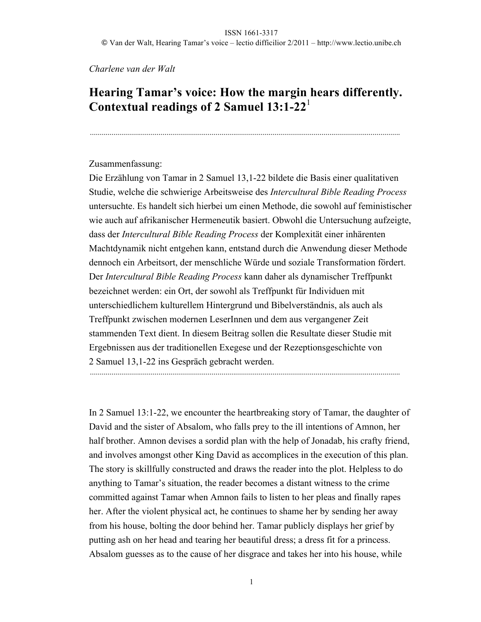### *Charlene van der Walt*

# **Hearing Tamar's voice: How the margin hears differently. Contextual readings of 2 Samuel 13:1-22**<sup>1</sup>

..............................................................................................................................................................

### Zusammenfassung:

Die Erzählung von Tamar in 2 Samuel 13,1-22 bildete die Basis einer qualitativen Studie, welche die schwierige Arbeitsweise des *Intercultural Bible Reading Process* untersuchte. Es handelt sich hierbei um einen Methode, die sowohl auf feministischer wie auch auf afrikanischer Hermeneutik basiert. Obwohl die Untersuchung aufzeigte, dass der *Intercultural Bible Reading Process* der Komplexität einer inhärenten Machtdynamik nicht entgehen kann, entstand durch die Anwendung dieser Methode dennoch ein Arbeitsort, der menschliche Würde und soziale Transformation fördert. Der *Intercultural Bible Reading Process* kann daher als dynamischer Treffpunkt bezeichnet werden: ein Ort, der sowohl als Treffpunkt für Individuen mit unterschiedlichem kulturellem Hintergrund und Bibelverständnis, als auch als Treffpunkt zwischen modernen LeserInnen und dem aus vergangener Zeit stammenden Text dient. In diesem Beitrag sollen die Resultate dieser Studie mit Ergebnissen aus der traditionellen Exegese und der Rezeptionsgeschichte von 2 Samuel 13,1-22 ins Gespräch gebracht werden.

..............................................................................................................................................................

In 2 Samuel 13:1-22, we encounter the heartbreaking story of Tamar, the daughter of David and the sister of Absalom, who falls prey to the ill intentions of Amnon, her half brother. Amnon devises a sordid plan with the help of Jonadab, his crafty friend, and involves amongst other King David as accomplices in the execution of this plan. The story is skillfully constructed and draws the reader into the plot. Helpless to do anything to Tamar's situation, the reader becomes a distant witness to the crime committed against Tamar when Amnon fails to listen to her pleas and finally rapes her. After the violent physical act, he continues to shame her by sending her away from his house, bolting the door behind her. Tamar publicly displays her grief by putting ash on her head and tearing her beautiful dress; a dress fit for a princess. Absalom guesses as to the cause of her disgrace and takes her into his house, while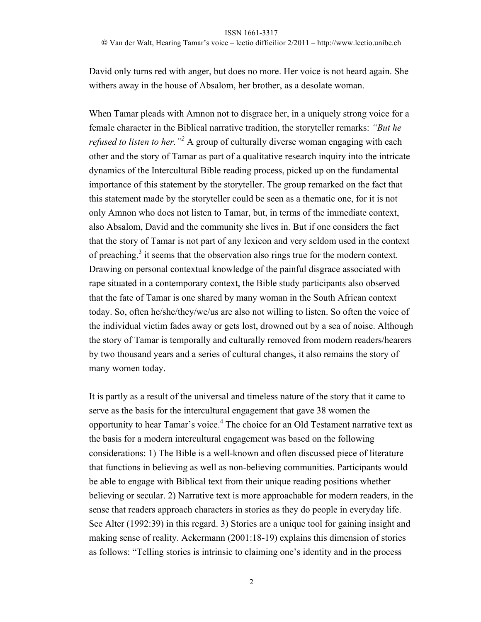David only turns red with anger, but does no more. Her voice is not heard again. She withers away in the house of Absalom, her brother, as a desolate woman.

When Tamar pleads with Amnon not to disgrace her, in a uniquely strong voice for a female character in the Biblical narrative tradition, the storyteller remarks: *"But he refused to listen to her.*"<sup>2</sup> A group of culturally diverse woman engaging with each other and the story of Tamar as part of a qualitative research inquiry into the intricate dynamics of the Intercultural Bible reading process, picked up on the fundamental importance of this statement by the storyteller. The group remarked on the fact that this statement made by the storyteller could be seen as a thematic one, for it is not only Amnon who does not listen to Tamar, but, in terms of the immediate context, also Absalom, David and the community she lives in. But if one considers the fact that the story of Tamar is not part of any lexicon and very seldom used in the context of preaching, $3$  it seems that the observation also rings true for the modern context. Drawing on personal contextual knowledge of the painful disgrace associated with rape situated in a contemporary context, the Bible study participants also observed that the fate of Tamar is one shared by many woman in the South African context today. So, often he/she/they/we/us are also not willing to listen. So often the voice of the individual victim fades away or gets lost, drowned out by a sea of noise. Although the story of Tamar is temporally and culturally removed from modern readers/hearers by two thousand years and a series of cultural changes, it also remains the story of many women today.

It is partly as a result of the universal and timeless nature of the story that it came to serve as the basis for the intercultural engagement that gave 38 women the opportunity to hear Tamar's voice.<sup>4</sup> The choice for an Old Testament narrative text as the basis for a modern intercultural engagement was based on the following considerations: 1) The Bible is a well-known and often discussed piece of literature that functions in believing as well as non-believing communities. Participants would be able to engage with Biblical text from their unique reading positions whether believing or secular. 2) Narrative text is more approachable for modern readers, in the sense that readers approach characters in stories as they do people in everyday life. See Alter (1992:39) in this regard. 3) Stories are a unique tool for gaining insight and making sense of reality. Ackermann (2001:18-19) explains this dimension of stories as follows: "Telling stories is intrinsic to claiming one's identity and in the process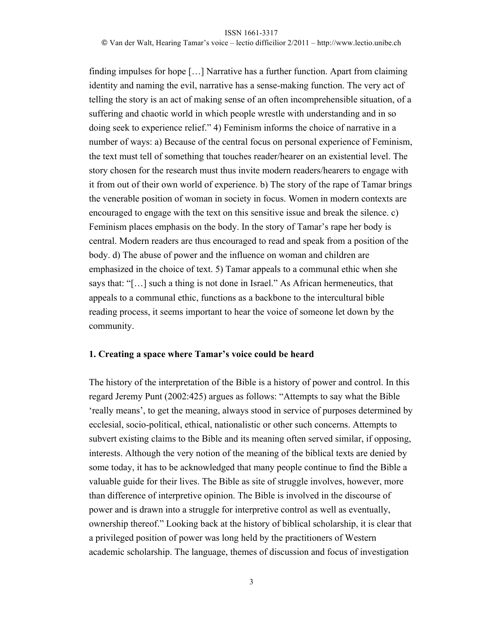© Van der Walt, Hearing Tamar's voice – lectio difficilior 2/2011 – http://www.lectio.unibe.ch

finding impulses for hope […] Narrative has a further function. Apart from claiming identity and naming the evil, narrative has a sense-making function. The very act of telling the story is an act of making sense of an often incomprehensible situation, of a suffering and chaotic world in which people wrestle with understanding and in so doing seek to experience relief." 4) Feminism informs the choice of narrative in a number of ways: a) Because of the central focus on personal experience of Feminism, the text must tell of something that touches reader/hearer on an existential level. The story chosen for the research must thus invite modern readers/hearers to engage with it from out of their own world of experience. b) The story of the rape of Tamar brings the venerable position of woman in society in focus. Women in modern contexts are encouraged to engage with the text on this sensitive issue and break the silence. c) Feminism places emphasis on the body. In the story of Tamar's rape her body is central. Modern readers are thus encouraged to read and speak from a position of the body. d) The abuse of power and the influence on woman and children are emphasized in the choice of text. 5) Tamar appeals to a communal ethic when she says that: "[…] such a thing is not done in Israel." As African hermeneutics, that appeals to a communal ethic, functions as a backbone to the intercultural bible reading process, it seems important to hear the voice of someone let down by the community.

### **1. Creating a space where Tamar's voice could be heard**

The history of the interpretation of the Bible is a history of power and control. In this regard Jeremy Punt (2002:425) argues as follows: "Attempts to say what the Bible 'really means', to get the meaning, always stood in service of purposes determined by ecclesial, socio-political, ethical, nationalistic or other such concerns. Attempts to subvert existing claims to the Bible and its meaning often served similar, if opposing, interests. Although the very notion of the meaning of the biblical texts are denied by some today, it has to be acknowledged that many people continue to find the Bible a valuable guide for their lives. The Bible as site of struggle involves, however, more than difference of interpretive opinion. The Bible is involved in the discourse of power and is drawn into a struggle for interpretive control as well as eventually, ownership thereof." Looking back at the history of biblical scholarship, it is clear that a privileged position of power was long held by the practitioners of Western academic scholarship. The language, themes of discussion and focus of investigation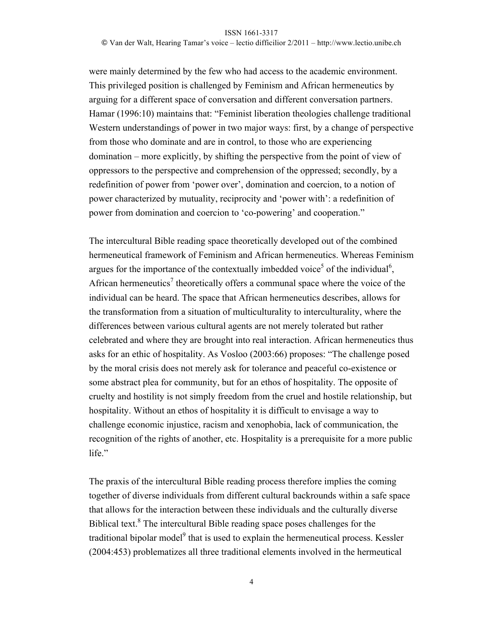© Van der Walt, Hearing Tamar's voice – lectio difficilior 2/2011 – http://www.lectio.unibe.ch

were mainly determined by the few who had access to the academic environment. This privileged position is challenged by Feminism and African hermeneutics by arguing for a different space of conversation and different conversation partners. Hamar (1996:10) maintains that: "Feminist liberation theologies challenge traditional Western understandings of power in two major ways: first, by a change of perspective from those who dominate and are in control, to those who are experiencing domination – more explicitly, by shifting the perspective from the point of view of oppressors to the perspective and comprehension of the oppressed; secondly, by a redefinition of power from 'power over', domination and coercion, to a notion of power characterized by mutuality, reciprocity and 'power with': a redefinition of power from domination and coercion to 'co-powering' and cooperation."

The intercultural Bible reading space theoretically developed out of the combined hermeneutical framework of Feminism and African hermeneutics. Whereas Feminism argues for the importance of the contextually imbedded voice<sup>5</sup> of the individual<sup>6</sup>, African hermeneutics<sup>7</sup> theoretically offers a communal space where the voice of the individual can be heard. The space that African hermeneutics describes, allows for the transformation from a situation of multiculturality to interculturality, where the differences between various cultural agents are not merely tolerated but rather celebrated and where they are brought into real interaction. African hermeneutics thus asks for an ethic of hospitality. As Vosloo (2003:66) proposes: "The challenge posed by the moral crisis does not merely ask for tolerance and peaceful co-existence or some abstract plea for community, but for an ethos of hospitality. The opposite of cruelty and hostility is not simply freedom from the cruel and hostile relationship, but hospitality. Without an ethos of hospitality it is difficult to envisage a way to challenge economic injustice, racism and xenophobia, lack of communication, the recognition of the rights of another, etc. Hospitality is a prerequisite for a more public life."

The praxis of the intercultural Bible reading process therefore implies the coming together of diverse individuals from different cultural backrounds within a safe space that allows for the interaction between these individuals and the culturally diverse Biblical text.<sup>8</sup> The intercultural Bible reading space poses challenges for the traditional bipolar model<sup>9</sup> that is used to explain the hermeneutical process. Kessler (2004:453) problematizes all three traditional elements involved in the hermeutical

4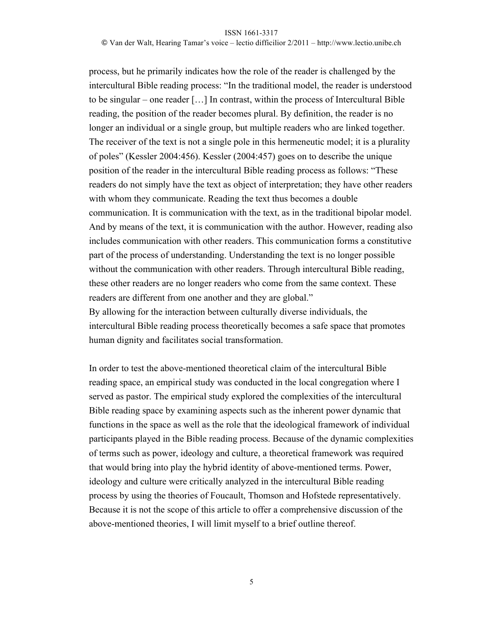© Van der Walt, Hearing Tamar's voice – lectio difficilior 2/2011 – http://www.lectio.unibe.ch

process, but he primarily indicates how the role of the reader is challenged by the intercultural Bible reading process: "In the traditional model, the reader is understood to be singular – one reader […] In contrast, within the process of Intercultural Bible reading, the position of the reader becomes plural. By definition, the reader is no longer an individual or a single group, but multiple readers who are linked together. The receiver of the text is not a single pole in this hermeneutic model; it is a plurality of poles" (Kessler 2004:456). Kessler (2004:457) goes on to describe the unique position of the reader in the intercultural Bible reading process as follows: "These readers do not simply have the text as object of interpretation; they have other readers with whom they communicate. Reading the text thus becomes a double communication. It is communication with the text, as in the traditional bipolar model. And by means of the text, it is communication with the author. However, reading also includes communication with other readers. This communication forms a constitutive part of the process of understanding. Understanding the text is no longer possible without the communication with other readers. Through intercultural Bible reading, these other readers are no longer readers who come from the same context. These readers are different from one another and they are global." By allowing for the interaction between culturally diverse individuals, the intercultural Bible reading process theoretically becomes a safe space that promotes human dignity and facilitates social transformation.

In order to test the above-mentioned theoretical claim of the intercultural Bible reading space, an empirical study was conducted in the local congregation where I served as pastor. The empirical study explored the complexities of the intercultural Bible reading space by examining aspects such as the inherent power dynamic that functions in the space as well as the role that the ideological framework of individual participants played in the Bible reading process. Because of the dynamic complexities of terms such as power, ideology and culture, a theoretical framework was required that would bring into play the hybrid identity of above-mentioned terms. Power, ideology and culture were critically analyzed in the intercultural Bible reading process by using the theories of Foucault, Thomson and Hofstede representatively. Because it is not the scope of this article to offer a comprehensive discussion of the above-mentioned theories, I will limit myself to a brief outline thereof.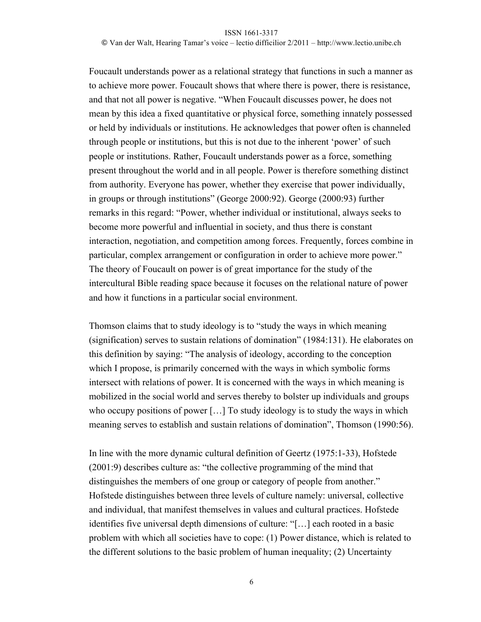© Van der Walt, Hearing Tamar's voice – lectio difficilior 2/2011 – http://www.lectio.unibe.ch

Foucault understands power as a relational strategy that functions in such a manner as to achieve more power. Foucault shows that where there is power, there is resistance, and that not all power is negative. "When Foucault discusses power, he does not mean by this idea a fixed quantitative or physical force, something innately possessed or held by individuals or institutions. He acknowledges that power often is channeled through people or institutions, but this is not due to the inherent 'power' of such people or institutions. Rather, Foucault understands power as a force, something present throughout the world and in all people. Power is therefore something distinct from authority. Everyone has power, whether they exercise that power individually, in groups or through institutions" (George 2000:92). George (2000:93) further remarks in this regard: "Power, whether individual or institutional, always seeks to become more powerful and influential in society, and thus there is constant interaction, negotiation, and competition among forces. Frequently, forces combine in particular, complex arrangement or configuration in order to achieve more power." The theory of Foucault on power is of great importance for the study of the intercultural Bible reading space because it focuses on the relational nature of power and how it functions in a particular social environment.

Thomson claims that to study ideology is to "study the ways in which meaning (signification) serves to sustain relations of domination" (1984:131). He elaborates on this definition by saying: "The analysis of ideology, according to the conception which I propose, is primarily concerned with the ways in which symbolic forms intersect with relations of power. It is concerned with the ways in which meaning is mobilized in the social world and serves thereby to bolster up individuals and groups who occupy positions of power [...] To study ideology is to study the ways in which meaning serves to establish and sustain relations of domination", Thomson (1990:56).

In line with the more dynamic cultural definition of Geertz (1975:1-33), Hofstede (2001:9) describes culture as: "the collective programming of the mind that distinguishes the members of one group or category of people from another." Hofstede distinguishes between three levels of culture namely: universal, collective and individual, that manifest themselves in values and cultural practices. Hofstede identifies five universal depth dimensions of culture: "[…] each rooted in a basic problem with which all societies have to cope: (1) Power distance, which is related to the different solutions to the basic problem of human inequality; (2) Uncertainty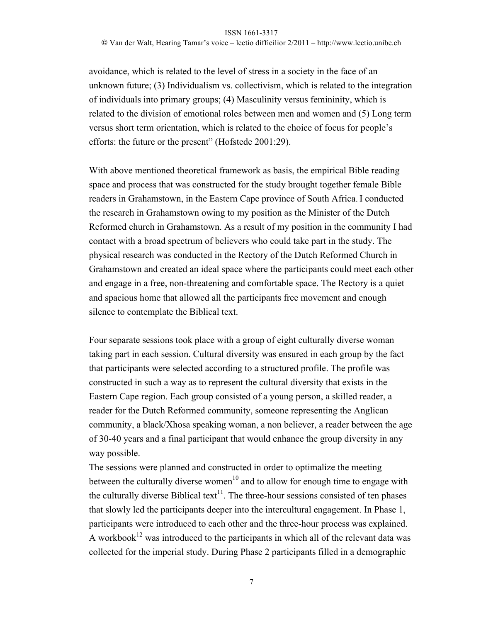© Van der Walt, Hearing Tamar's voice – lectio difficilior 2/2011 – http://www.lectio.unibe.ch

avoidance, which is related to the level of stress in a society in the face of an unknown future; (3) Individualism vs. collectivism, which is related to the integration of individuals into primary groups; (4) Masculinity versus femininity, which is related to the division of emotional roles between men and women and (5) Long term versus short term orientation, which is related to the choice of focus for people's efforts: the future or the present" (Hofstede 2001:29).

With above mentioned theoretical framework as basis, the empirical Bible reading space and process that was constructed for the study brought together female Bible readers in Grahamstown, in the Eastern Cape province of South Africa. I conducted the research in Grahamstown owing to my position as the Minister of the Dutch Reformed church in Grahamstown. As a result of my position in the community I had contact with a broad spectrum of believers who could take part in the study. The physical research was conducted in the Rectory of the Dutch Reformed Church in Grahamstown and created an ideal space where the participants could meet each other and engage in a free, non-threatening and comfortable space. The Rectory is a quiet and spacious home that allowed all the participants free movement and enough silence to contemplate the Biblical text.

Four separate sessions took place with a group of eight culturally diverse woman taking part in each session. Cultural diversity was ensured in each group by the fact that participants were selected according to a structured profile. The profile was constructed in such a way as to represent the cultural diversity that exists in the Eastern Cape region. Each group consisted of a young person, a skilled reader, a reader for the Dutch Reformed community, someone representing the Anglican community, a black/Xhosa speaking woman, a non believer, a reader between the age of 30-40 years and a final participant that would enhance the group diversity in any way possible.

The sessions were planned and constructed in order to optimalize the meeting between the culturally diverse women<sup>10</sup> and to allow for enough time to engage with the culturally diverse Biblical text<sup>11</sup>. The three-hour sessions consisted of ten phases that slowly led the participants deeper into the intercultural engagement. In Phase 1, participants were introduced to each other and the three-hour process was explained. A workbook<sup>12</sup> was introduced to the participants in which all of the relevant data was collected for the imperial study. During Phase 2 participants filled in a demographic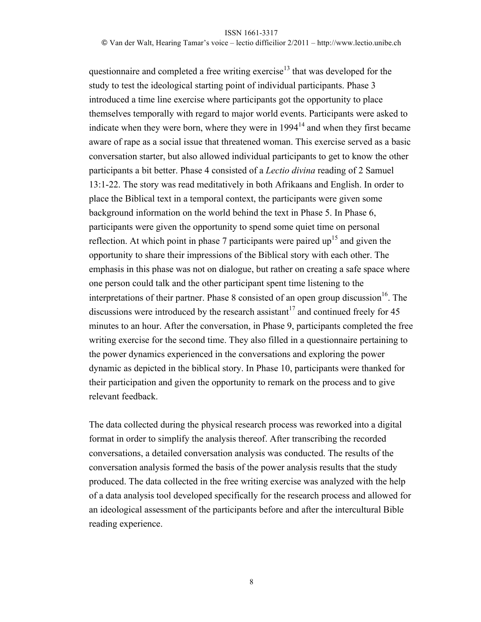© Van der Walt, Hearing Tamar's voice – lectio difficilior 2/2011 – http://www.lectio.unibe.ch

questionnaire and completed a free writing exercise<sup>13</sup> that was developed for the study to test the ideological starting point of individual participants. Phase 3 introduced a time line exercise where participants got the opportunity to place themselves temporally with regard to major world events. Participants were asked to indicate when they were born, where they were in  $1994<sup>14</sup>$  and when they first became aware of rape as a social issue that threatened woman. This exercise served as a basic conversation starter, but also allowed individual participants to get to know the other participants a bit better. Phase 4 consisted of a *Lectio divina* reading of 2 Samuel 13:1-22. The story was read meditatively in both Afrikaans and English. In order to place the Biblical text in a temporal context, the participants were given some background information on the world behind the text in Phase 5. In Phase 6, participants were given the opportunity to spend some quiet time on personal reflection. At which point in phase 7 participants were paired up<sup>15</sup> and given the opportunity to share their impressions of the Biblical story with each other. The emphasis in this phase was not on dialogue, but rather on creating a safe space where one person could talk and the other participant spent time listening to the interpretations of their partner. Phase 8 consisted of an open group discussion<sup>16</sup>. The discussions were introduced by the research assistant<sup>17</sup> and continued freely for 45 minutes to an hour. After the conversation, in Phase 9, participants completed the free writing exercise for the second time. They also filled in a questionnaire pertaining to the power dynamics experienced in the conversations and exploring the power dynamic as depicted in the biblical story. In Phase 10, participants were thanked for their participation and given the opportunity to remark on the process and to give relevant feedback.

The data collected during the physical research process was reworked into a digital format in order to simplify the analysis thereof. After transcribing the recorded conversations, a detailed conversation analysis was conducted. The results of the conversation analysis formed the basis of the power analysis results that the study produced. The data collected in the free writing exercise was analyzed with the help of a data analysis tool developed specifically for the research process and allowed for an ideological assessment of the participants before and after the intercultural Bible reading experience.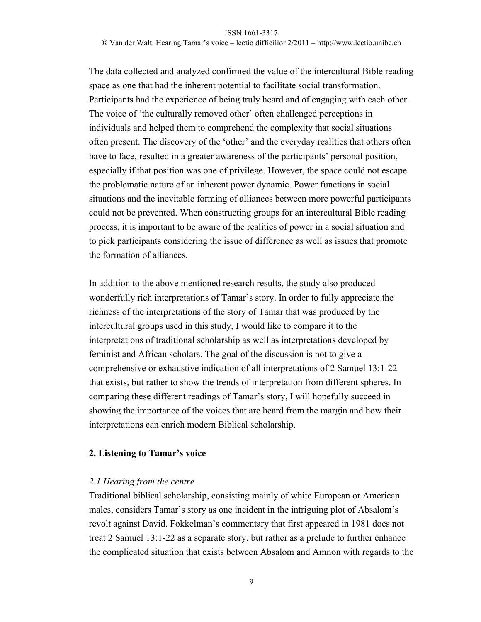© Van der Walt, Hearing Tamar's voice – lectio difficilior 2/2011 – http://www.lectio.unibe.ch

The data collected and analyzed confirmed the value of the intercultural Bible reading space as one that had the inherent potential to facilitate social transformation. Participants had the experience of being truly heard and of engaging with each other. The voice of 'the culturally removed other' often challenged perceptions in individuals and helped them to comprehend the complexity that social situations often present. The discovery of the 'other' and the everyday realities that others often have to face, resulted in a greater awareness of the participants' personal position, especially if that position was one of privilege. However, the space could not escape the problematic nature of an inherent power dynamic. Power functions in social situations and the inevitable forming of alliances between more powerful participants could not be prevented. When constructing groups for an intercultural Bible reading process, it is important to be aware of the realities of power in a social situation and to pick participants considering the issue of difference as well as issues that promote the formation of alliances.

In addition to the above mentioned research results, the study also produced wonderfully rich interpretations of Tamar's story. In order to fully appreciate the richness of the interpretations of the story of Tamar that was produced by the intercultural groups used in this study, I would like to compare it to the interpretations of traditional scholarship as well as interpretations developed by feminist and African scholars. The goal of the discussion is not to give a comprehensive or exhaustive indication of all interpretations of 2 Samuel 13:1-22 that exists, but rather to show the trends of interpretation from different spheres. In comparing these different readings of Tamar's story, I will hopefully succeed in showing the importance of the voices that are heard from the margin and how their interpretations can enrich modern Biblical scholarship.

### **2. Listening to Tamar's voice**

### *2.1 Hearing from the centre*

Traditional biblical scholarship, consisting mainly of white European or American males, considers Tamar's story as one incident in the intriguing plot of Absalom's revolt against David. Fokkelman's commentary that first appeared in 1981 does not treat 2 Samuel 13:1-22 as a separate story, but rather as a prelude to further enhance the complicated situation that exists between Absalom and Amnon with regards to the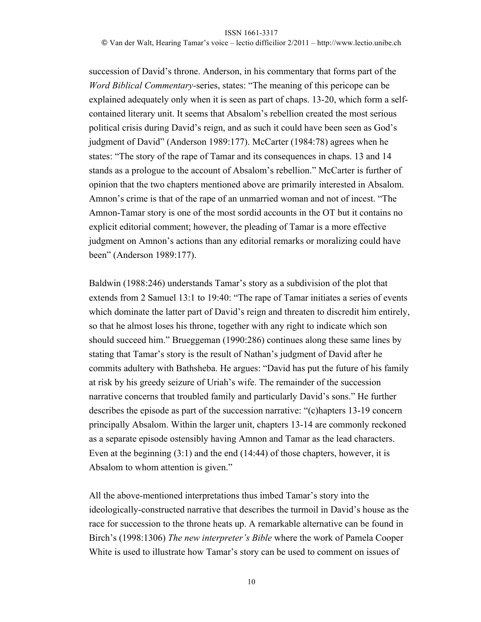© Van der Walt, Hearing Tamar's voice – lectio difficilior 2/2011 – http://www.lectio.unibe.ch

succession of David's throne. Anderson, in his commentary that forms part of the *Word Biblical Commentary-*series, states: "The meaning of this pericope can be explained adequately only when it is seen as part of chaps. 13-20, which form a selfcontained literary unit. It seems that Absalom's rebellion created the most serious political crisis during David's reign, and as such it could have been seen as God's judgment of David" (Anderson 1989:177). McCarter (1984:78) agrees when he states: "The story of the rape of Tamar and its consequences in chaps. 13 and 14 stands as a prologue to the account of Absalom's rebellion." McCarter is further of opinion that the two chapters mentioned above are primarily interested in Absalom. Amnon's crime is that of the rape of an unmarried woman and not of incest. "The Amnon-Tamar story is one of the most sordid accounts in the OT but it contains no explicit editorial comment; however, the pleading of Tamar is a more effective judgment on Amnon's actions than any editorial remarks or moralizing could have been" (Anderson 1989:177).

Baldwin (1988:246) understands Tamar's story as a subdivision of the plot that extends from 2 Samuel 13:1 to 19:40: "The rape of Tamar initiates a series of events which dominate the latter part of David's reign and threaten to discredit him entirely, so that he almost loses his throne, together with any right to indicate which son should succeed him." Brueggeman (1990:286) continues along these same lines by stating that Tamar's story is the result of Nathan's judgment of David after he commits adultery with Bathsheba. He argues: "David has put the future of his family at risk by his greedy seizure of Uriah's wife. The remainder of the succession narrative concerns that troubled family and particularly David's sons." He further describes the episode as part of the succession narrative: "(c)hapters 13-19 concern principally Absalom. Within the larger unit, chapters 13-14 are commonly reckoned as a separate episode ostensibly having Amnon and Tamar as the lead characters. Even at the beginning (3:1) and the end (14:44) of those chapters, however, it is Absalom to whom attention is given."

All the above-mentioned interpretations thus imbed Tamar's story into the ideologically-constructed narrative that describes the turmoil in David's house as the race for succession to the throne heats up. A remarkable alternative can be found in Birch's (1998:1306) *The new interpreter's Bible* where the work of Pamela Cooper White is used to illustrate how Tamar's story can be used to comment on issues of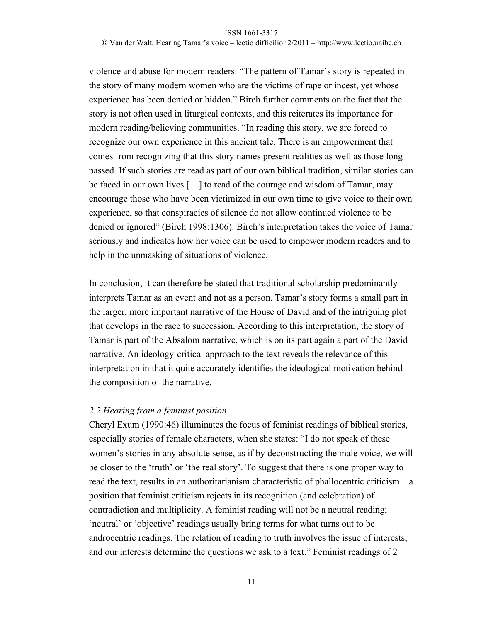© Van der Walt, Hearing Tamar's voice – lectio difficilior 2/2011 – http://www.lectio.unibe.ch

violence and abuse for modern readers. "The pattern of Tamar's story is repeated in the story of many modern women who are the victims of rape or incest, yet whose experience has been denied or hidden." Birch further comments on the fact that the story is not often used in liturgical contexts, and this reiterates its importance for modern reading/believing communities. "In reading this story, we are forced to recognize our own experience in this ancient tale. There is an empowerment that comes from recognizing that this story names present realities as well as those long passed. If such stories are read as part of our own biblical tradition, similar stories can be faced in our own lives […] to read of the courage and wisdom of Tamar, may encourage those who have been victimized in our own time to give voice to their own experience, so that conspiracies of silence do not allow continued violence to be denied or ignored" (Birch 1998:1306). Birch's interpretation takes the voice of Tamar seriously and indicates how her voice can be used to empower modern readers and to help in the unmasking of situations of violence.

In conclusion, it can therefore be stated that traditional scholarship predominantly interprets Tamar as an event and not as a person. Tamar's story forms a small part in the larger, more important narrative of the House of David and of the intriguing plot that develops in the race to succession. According to this interpretation, the story of Tamar is part of the Absalom narrative, which is on its part again a part of the David narrative. An ideology-critical approach to the text reveals the relevance of this interpretation in that it quite accurately identifies the ideological motivation behind the composition of the narrative.

### *2.2 Hearing from a feminist position*

Cheryl Exum (1990:46) illuminates the focus of feminist readings of biblical stories, especially stories of female characters, when she states: "I do not speak of these women's stories in any absolute sense, as if by deconstructing the male voice, we will be closer to the 'truth' or 'the real story'. To suggest that there is one proper way to read the text, results in an authoritarianism characteristic of phallocentric criticism – a position that feminist criticism rejects in its recognition (and celebration) of contradiction and multiplicity. A feminist reading will not be a neutral reading; 'neutral' or 'objective' readings usually bring terms for what turns out to be androcentric readings. The relation of reading to truth involves the issue of interests, and our interests determine the questions we ask to a text." Feminist readings of 2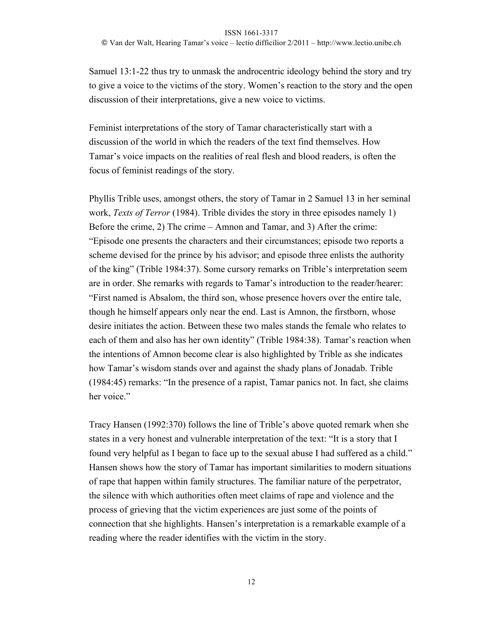© Van der Walt, Hearing Tamar's voice – lectio difficilior 2/2011 – http://www.lectio.unibe.ch

Samuel 13:1-22 thus try to unmask the androcentric ideology behind the story and try to give a voice to the victims of the story. Women's reaction to the story and the open discussion of their interpretations, give a new voice to victims.

Feminist interpretations of the story of Tamar characteristically start with a discussion of the world in which the readers of the text find themselves. How Tamar's voice impacts on the realities of real flesh and blood readers, is often the focus of feminist readings of the story.

Phyllis Trible uses, amongst others, the story of Tamar in 2 Samuel 13 in her seminal work, *Texts of Terror* (1984). Trible divides the story in three episodes namely 1) Before the crime, 2) The crime – Amnon and Tamar, and 3) After the crime: "Episode one presents the characters and their circumstances; episode two reports a scheme devised for the prince by his advisor; and episode three enlists the authority of the king" (Trible 1984:37). Some cursory remarks on Trible's interpretation seem are in order. She remarks with regards to Tamar's introduction to the reader/hearer: "First named is Absalom, the third son, whose presence hovers over the entire tale, though he himself appears only near the end. Last is Amnon, the firstborn, whose desire initiates the action. Between these two males stands the female who relates to each of them and also has her own identity" (Trible 1984:38). Tamar's reaction when the intentions of Amnon become clear is also highlighted by Trible as she indicates how Tamar's wisdom stands over and against the shady plans of Jonadab. Trible (1984:45) remarks: "In the presence of a rapist, Tamar panics not. In fact, she claims her voice."

Tracy Hansen (1992:370) follows the line of Trible's above quoted remark when she states in a very honest and vulnerable interpretation of the text: "It is a story that I found very helpful as I began to face up to the sexual abuse I had suffered as a child." Hansen shows how the story of Tamar has important similarities to modern situations of rape that happen within family structures. The familiar nature of the perpetrator, the silence with which authorities often meet claims of rape and violence and the process of grieving that the victim experiences are just some of the points of connection that she highlights. Hansen's interpretation is a remarkable example of a reading where the reader identifies with the victim in the story.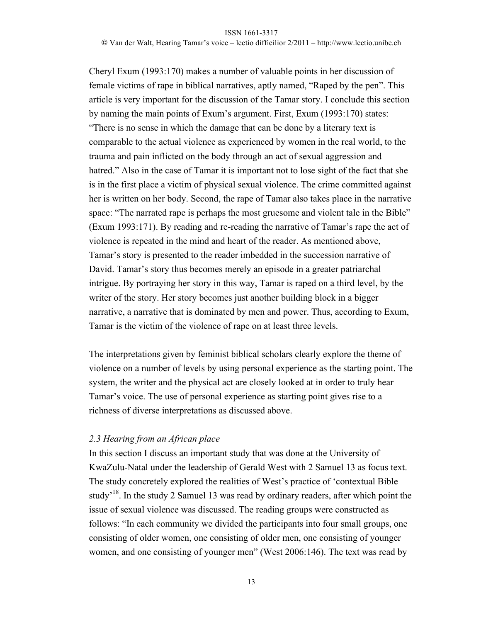© Van der Walt, Hearing Tamar's voice – lectio difficilior 2/2011 – http://www.lectio.unibe.ch

Cheryl Exum (1993:170) makes a number of valuable points in her discussion of female victims of rape in biblical narratives, aptly named, "Raped by the pen". This article is very important for the discussion of the Tamar story. I conclude this section by naming the main points of Exum's argument. First, Exum (1993:170) states: "There is no sense in which the damage that can be done by a literary text is comparable to the actual violence as experienced by women in the real world, to the trauma and pain inflicted on the body through an act of sexual aggression and hatred." Also in the case of Tamar it is important not to lose sight of the fact that she is in the first place a victim of physical sexual violence. The crime committed against her is written on her body. Second, the rape of Tamar also takes place in the narrative space: "The narrated rape is perhaps the most gruesome and violent tale in the Bible" (Exum 1993:171). By reading and re-reading the narrative of Tamar's rape the act of violence is repeated in the mind and heart of the reader. As mentioned above, Tamar's story is presented to the reader imbedded in the succession narrative of David. Tamar's story thus becomes merely an episode in a greater patriarchal intrigue. By portraying her story in this way, Tamar is raped on a third level, by the writer of the story. Her story becomes just another building block in a bigger narrative, a narrative that is dominated by men and power. Thus, according to Exum, Tamar is the victim of the violence of rape on at least three levels.

The interpretations given by feminist biblical scholars clearly explore the theme of violence on a number of levels by using personal experience as the starting point. The system, the writer and the physical act are closely looked at in order to truly hear Tamar's voice. The use of personal experience as starting point gives rise to a richness of diverse interpretations as discussed above.

### *2.3 Hearing from an African place*

In this section I discuss an important study that was done at the University of KwaZulu-Natal under the leadership of Gerald West with 2 Samuel 13 as focus text. The study concretely explored the realities of West's practice of 'contextual Bible study<sup>18</sup>. In the study 2 Samuel 13 was read by ordinary readers, after which point the issue of sexual violence was discussed. The reading groups were constructed as follows: "In each community we divided the participants into four small groups, one consisting of older women, one consisting of older men, one consisting of younger women, and one consisting of younger men" (West 2006:146). The text was read by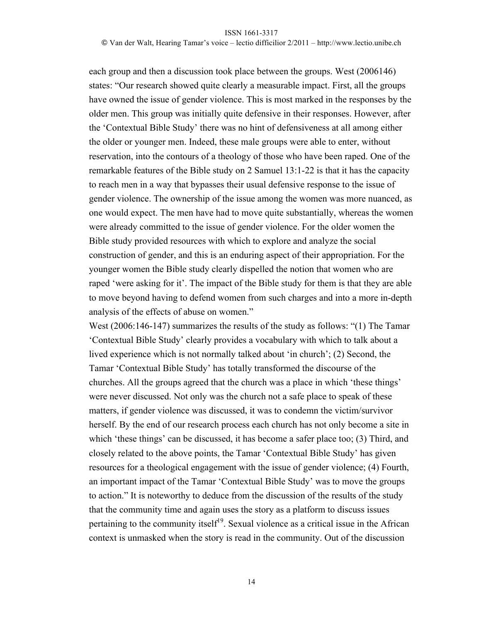© Van der Walt, Hearing Tamar's voice – lectio difficilior 2/2011 – http://www.lectio.unibe.ch

each group and then a discussion took place between the groups. West (2006146) states: "Our research showed quite clearly a measurable impact. First, all the groups have owned the issue of gender violence. This is most marked in the responses by the older men. This group was initially quite defensive in their responses. However, after the 'Contextual Bible Study' there was no hint of defensiveness at all among either the older or younger men. Indeed, these male groups were able to enter, without reservation, into the contours of a theology of those who have been raped. One of the remarkable features of the Bible study on 2 Samuel 13:1-22 is that it has the capacity to reach men in a way that bypasses their usual defensive response to the issue of gender violence. The ownership of the issue among the women was more nuanced, as one would expect. The men have had to move quite substantially, whereas the women were already committed to the issue of gender violence. For the older women the Bible study provided resources with which to explore and analyze the social construction of gender, and this is an enduring aspect of their appropriation. For the younger women the Bible study clearly dispelled the notion that women who are raped 'were asking for it'. The impact of the Bible study for them is that they are able to move beyond having to defend women from such charges and into a more in-depth analysis of the effects of abuse on women."

West (2006:146-147) summarizes the results of the study as follows: "(1) The Tamar 'Contextual Bible Study' clearly provides a vocabulary with which to talk about a lived experience which is not normally talked about 'in church'; (2) Second, the Tamar 'Contextual Bible Study' has totally transformed the discourse of the churches. All the groups agreed that the church was a place in which 'these things' were never discussed. Not only was the church not a safe place to speak of these matters, if gender violence was discussed, it was to condemn the victim/survivor herself. By the end of our research process each church has not only become a site in which 'these things' can be discussed, it has become a safer place too; (3) Third, and closely related to the above points, the Tamar 'Contextual Bible Study' has given resources for a theological engagement with the issue of gender violence; (4) Fourth, an important impact of the Tamar 'Contextual Bible Study' was to move the groups to action." It is noteworthy to deduce from the discussion of the results of the study that the community time and again uses the story as a platform to discuss issues pertaining to the community itself<sup>19</sup>. Sexual violence as a critical issue in the African context is unmasked when the story is read in the community. Out of the discussion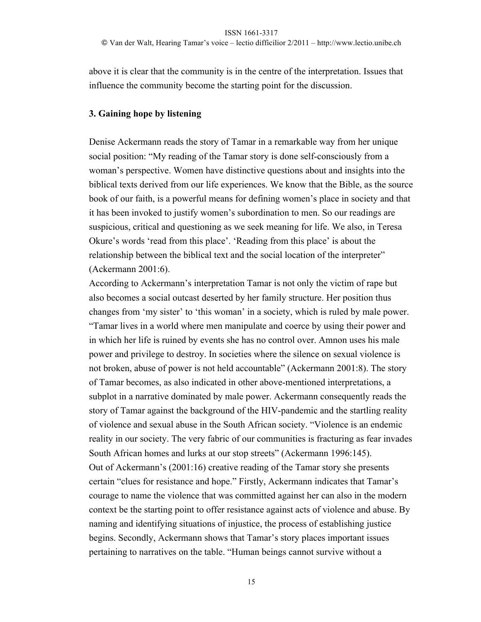© Van der Walt, Hearing Tamar's voice – lectio difficilior 2/2011 – http://www.lectio.unibe.ch

above it is clear that the community is in the centre of the interpretation. Issues that influence the community become the starting point for the discussion.

### **3. Gaining hope by listening**

Denise Ackermann reads the story of Tamar in a remarkable way from her unique social position: "My reading of the Tamar story is done self-consciously from a woman's perspective. Women have distinctive questions about and insights into the biblical texts derived from our life experiences. We know that the Bible, as the source book of our faith, is a powerful means for defining women's place in society and that it has been invoked to justify women's subordination to men. So our readings are suspicious, critical and questioning as we seek meaning for life. We also, in Teresa Okure's words 'read from this place'. 'Reading from this place' is about the relationship between the biblical text and the social location of the interpreter" (Ackermann 2001:6).

According to Ackermann's interpretation Tamar is not only the victim of rape but also becomes a social outcast deserted by her family structure. Her position thus changes from 'my sister' to 'this woman' in a society, which is ruled by male power. "Tamar lives in a world where men manipulate and coerce by using their power and in which her life is ruined by events she has no control over. Amnon uses his male power and privilege to destroy. In societies where the silence on sexual violence is not broken, abuse of power is not held accountable" (Ackermann 2001:8). The story of Tamar becomes, as also indicated in other above-mentioned interpretations, a subplot in a narrative dominated by male power. Ackermann consequently reads the story of Tamar against the background of the HIV-pandemic and the startling reality of violence and sexual abuse in the South African society. "Violence is an endemic reality in our society. The very fabric of our communities is fracturing as fear invades South African homes and lurks at our stop streets" (Ackermann 1996:145). Out of Ackermann's (2001:16) creative reading of the Tamar story she presents certain "clues for resistance and hope." Firstly, Ackermann indicates that Tamar's courage to name the violence that was committed against her can also in the modern context be the starting point to offer resistance against acts of violence and abuse. By naming and identifying situations of injustice, the process of establishing justice begins. Secondly, Ackermann shows that Tamar's story places important issues pertaining to narratives on the table. "Human beings cannot survive without a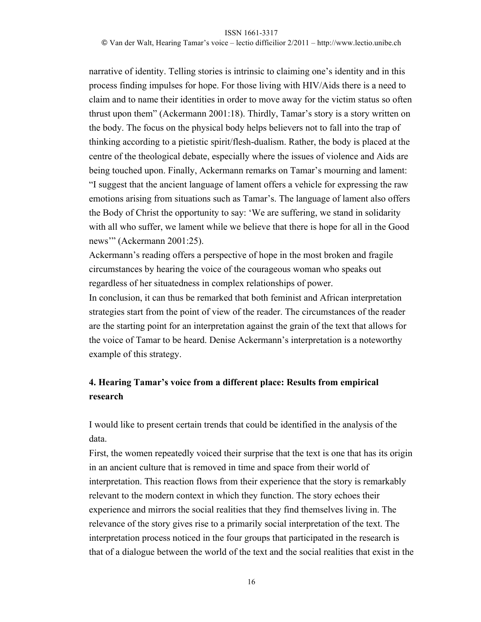© Van der Walt, Hearing Tamar's voice – lectio difficilior 2/2011 – http://www.lectio.unibe.ch

narrative of identity. Telling stories is intrinsic to claiming one's identity and in this process finding impulses for hope. For those living with HIV/Aids there is a need to claim and to name their identities in order to move away for the victim status so often thrust upon them" (Ackermann 2001:18). Thirdly, Tamar's story is a story written on the body. The focus on the physical body helps believers not to fall into the trap of thinking according to a pietistic spirit/flesh-dualism. Rather, the body is placed at the centre of the theological debate, especially where the issues of violence and Aids are being touched upon. Finally, Ackermann remarks on Tamar's mourning and lament: "I suggest that the ancient language of lament offers a vehicle for expressing the raw emotions arising from situations such as Tamar's. The language of lament also offers the Body of Christ the opportunity to say: 'We are suffering, we stand in solidarity with all who suffer, we lament while we believe that there is hope for all in the Good news"" (Ackermann 2001:25).

Ackermann's reading offers a perspective of hope in the most broken and fragile circumstances by hearing the voice of the courageous woman who speaks out regardless of her situatedness in complex relationships of power.

In conclusion, it can thus be remarked that both feminist and African interpretation strategies start from the point of view of the reader. The circumstances of the reader are the starting point for an interpretation against the grain of the text that allows for the voice of Tamar to be heard. Denise Ackermann's interpretation is a noteworthy example of this strategy.

## **4. Hearing Tamar's voice from a different place: Results from empirical research**

I would like to present certain trends that could be identified in the analysis of the data.

First, the women repeatedly voiced their surprise that the text is one that has its origin in an ancient culture that is removed in time and space from their world of interpretation. This reaction flows from their experience that the story is remarkably relevant to the modern context in which they function. The story echoes their experience and mirrors the social realities that they find themselves living in. The relevance of the story gives rise to a primarily social interpretation of the text. The interpretation process noticed in the four groups that participated in the research is that of a dialogue between the world of the text and the social realities that exist in the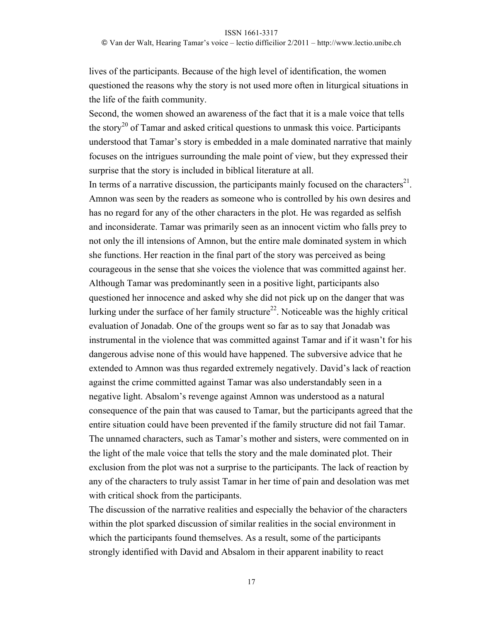#### © Van der Walt, Hearing Tamar's voice – lectio difficilior 2/2011 – http://www.lectio.unibe.ch

lives of the participants. Because of the high level of identification, the women questioned the reasons why the story is not used more often in liturgical situations in the life of the faith community.

Second, the women showed an awareness of the fact that it is a male voice that tells the story<sup>20</sup> of Tamar and asked critical questions to unmask this voice. Participants understood that Tamar's story is embedded in a male dominated narrative that mainly focuses on the intrigues surrounding the male point of view, but they expressed their surprise that the story is included in biblical literature at all.

In terms of a narrative discussion, the participants mainly focused on the characters<sup>21</sup>. Amnon was seen by the readers as someone who is controlled by his own desires and has no regard for any of the other characters in the plot. He was regarded as selfish and inconsiderate. Tamar was primarily seen as an innocent victim who falls prey to not only the ill intensions of Amnon, but the entire male dominated system in which she functions. Her reaction in the final part of the story was perceived as being courageous in the sense that she voices the violence that was committed against her. Although Tamar was predominantly seen in a positive light, participants also questioned her innocence and asked why she did not pick up on the danger that was lurking under the surface of her family structure<sup>22</sup>. Noticeable was the highly critical evaluation of Jonadab. One of the groups went so far as to say that Jonadab was instrumental in the violence that was committed against Tamar and if it wasn't for his dangerous advise none of this would have happened. The subversive advice that he extended to Amnon was thus regarded extremely negatively. David's lack of reaction against the crime committed against Tamar was also understandably seen in a negative light. Absalom's revenge against Amnon was understood as a natural consequence of the pain that was caused to Tamar, but the participants agreed that the entire situation could have been prevented if the family structure did not fail Tamar. The unnamed characters, such as Tamar's mother and sisters, were commented on in the light of the male voice that tells the story and the male dominated plot. Their exclusion from the plot was not a surprise to the participants. The lack of reaction by any of the characters to truly assist Tamar in her time of pain and desolation was met with critical shock from the participants.

The discussion of the narrative realities and especially the behavior of the characters within the plot sparked discussion of similar realities in the social environment in which the participants found themselves. As a result, some of the participants strongly identified with David and Absalom in their apparent inability to react

17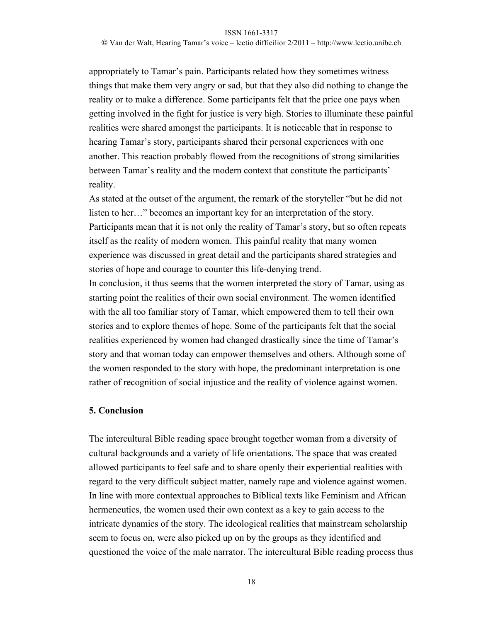© Van der Walt, Hearing Tamar's voice – lectio difficilior 2/2011 – http://www.lectio.unibe.ch

appropriately to Tamar's pain. Participants related how they sometimes witness things that make them very angry or sad, but that they also did nothing to change the reality or to make a difference. Some participants felt that the price one pays when getting involved in the fight for justice is very high. Stories to illuminate these painful realities were shared amongst the participants. It is noticeable that in response to hearing Tamar's story, participants shared their personal experiences with one another. This reaction probably flowed from the recognitions of strong similarities between Tamar's reality and the modern context that constitute the participants' reality.

As stated at the outset of the argument, the remark of the storyteller "but he did not listen to her…" becomes an important key for an interpretation of the story. Participants mean that it is not only the reality of Tamar's story, but so often repeats itself as the reality of modern women. This painful reality that many women experience was discussed in great detail and the participants shared strategies and stories of hope and courage to counter this life-denying trend.

In conclusion, it thus seems that the women interpreted the story of Tamar, using as starting point the realities of their own social environment. The women identified with the all too familiar story of Tamar, which empowered them to tell their own stories and to explore themes of hope. Some of the participants felt that the social realities experienced by women had changed drastically since the time of Tamar's story and that woman today can empower themselves and others. Although some of the women responded to the story with hope, the predominant interpretation is one rather of recognition of social injustice and the reality of violence against women.

### **5. Conclusion**

The intercultural Bible reading space brought together woman from a diversity of cultural backgrounds and a variety of life orientations. The space that was created allowed participants to feel safe and to share openly their experiential realities with regard to the very difficult subject matter, namely rape and violence against women. In line with more contextual approaches to Biblical texts like Feminism and African hermeneutics, the women used their own context as a key to gain access to the intricate dynamics of the story. The ideological realities that mainstream scholarship seem to focus on, were also picked up on by the groups as they identified and questioned the voice of the male narrator. The intercultural Bible reading process thus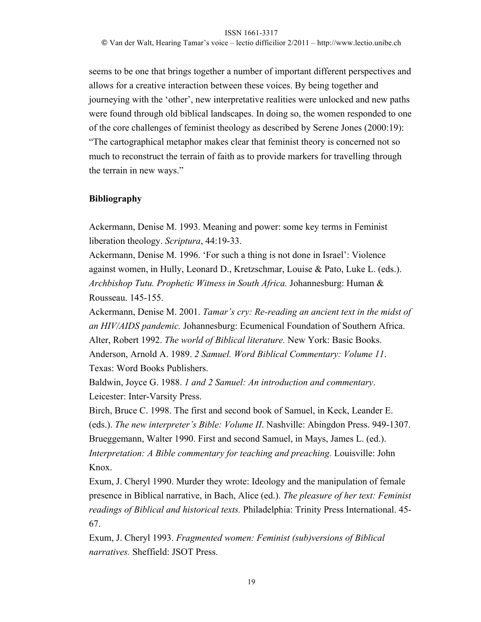© Van der Walt, Hearing Tamar's voice – lectio difficilior 2/2011 – http://www.lectio.unibe.ch

seems to be one that brings together a number of important different perspectives and allows for a creative interaction between these voices. By being together and journeying with the 'other', new interpretative realities were unlocked and new paths were found through old biblical landscapes. In doing so, the women responded to one of the core challenges of feminist theology as described by Serene Jones (2000:19): "The cartographical metaphor makes clear that feminist theory is concerned not so much to reconstruct the terrain of faith as to provide markers for travelling through the terrain in new ways."

### **Bibliography**

Ackermann, Denise M. 1993. Meaning and power: some key terms in Feminist liberation theology. *Scriptura*, 44:19-33.

Ackermann, Denise M. 1996. 'For such a thing is not done in Israel': Violence against women, in Hully, Leonard D., Kretzschmar, Louise & Pato, Luke L. (eds.). *Archbishop Tutu. Prophetic Witness in South Africa.* Johannesburg: Human & Rousseau. 145-155.

Ackermann, Denise M. 2001. *Tamar's cry: Re-reading an ancient text in the midst of an HIV/AIDS pandemic.* Johannesburg: Ecumenical Foundation of Southern Africa. Alter, Robert 1992. *The world of Biblical literature.* New York: Basic Books. Anderson, Arnold A. 1989. *2 Samuel. Word Biblical Commentary: Volume 11*. Texas: Word Books Publishers.

Baldwin, Joyce G. 1988. *1 and 2 Samuel: An introduction and commentary*. Leicester: Inter-Varsity Press.

Birch, Bruce C. 1998. The first and second book of Samuel, in Keck, Leander E. (eds.). *The new interpreter's Bible: Volume II*. Nashville: Abingdon Press. 949-1307. Brueggemann, Walter 1990. First and second Samuel, in Mays, James L. (ed.). *Interpretation: A Bible commentary for teaching and preaching. Louisville: John* Knox.

Exum, J. Cheryl 1990. Murder they wrote: Ideology and the manipulation of female presence in Biblical narrative, in Bach, Alice (ed.). *The pleasure of her text: Feminist readings of Biblical and historical texts.* Philadelphia: Trinity Press International. 45- 67.

Exum, J. Cheryl 1993. *Fragmented women: Feminist (sub)versions of Biblical narratives.* Sheffield: JSOT Press.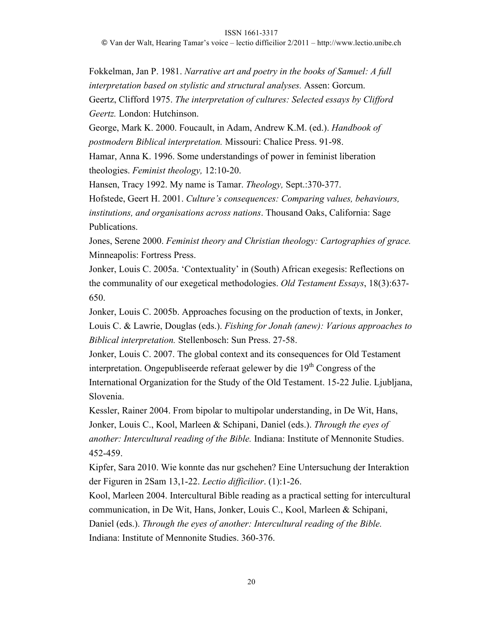© Van der Walt, Hearing Tamar's voice – lectio difficilior 2/2011 – http://www.lectio.unibe.ch

Fokkelman, Jan P. 1981. *Narrative art and poetry in the books of Samuel: A full interpretation based on stylistic and structural analyses.* Assen: Gorcum. Geertz, Clifford 1975. *The interpretation of cultures: Selected essays by Clifford Geertz.* London: Hutchinson.

George, Mark K. 2000. Foucault, in Adam, Andrew K.M. (ed.). *Handbook of postmodern Biblical interpretation.* Missouri: Chalice Press. 91-98.

Hamar, Anna K. 1996. Some understandings of power in feminist liberation theologies. *Feminist theology,* 12:10-20.

Hansen, Tracy 1992. My name is Tamar. *Theology,* Sept.:370-377.

Hofstede, Geert H. 2001. *Culture's consequences: Comparing values, behaviours, institutions, and organisations across nations*. Thousand Oaks, California: Sage Publications.

Jones, Serene 2000. *Feminist theory and Christian theology: Cartographies of grace.*  Minneapolis: Fortress Press.

Jonker, Louis C. 2005a. 'Contextuality' in (South) African exegesis: Reflections on the communality of our exegetical methodologies. *Old Testament Essays*, 18(3):637- 650.

Jonker, Louis C. 2005b. Approaches focusing on the production of texts, in Jonker, Louis C. & Lawrie, Douglas (eds.). *Fishing for Jonah (anew): Various approaches to Biblical interpretation.* Stellenbosch: Sun Press. 27-58.

Jonker, Louis C. 2007. The global context and its consequences for Old Testament interpretation. Ongepubliseerde referaat gelewer by die  $19<sup>th</sup>$  Congress of the International Organization for the Study of the Old Testament. 15-22 Julie. Ljubljana, Slovenia.

Kessler, Rainer 2004. From bipolar to multipolar understanding, in De Wit, Hans, Jonker, Louis C., Kool, Marleen & Schipani, Daniel (eds.). *Through the eyes of another: Intercultural reading of the Bible.* Indiana: Institute of Mennonite Studies. 452-459.

Kipfer, Sara 2010. Wie konnte das nur gschehen? Eine Untersuchung der Interaktion der Figuren in 2Sam 13,1-22. *Lectio difficilior*. (1):1-26.

Kool, Marleen 2004. Intercultural Bible reading as a practical setting for intercultural communication, in De Wit, Hans, Jonker, Louis C., Kool, Marleen & Schipani, Daniel (eds.). *Through the eyes of another: Intercultural reading of the Bible.* Indiana: Institute of Mennonite Studies. 360-376.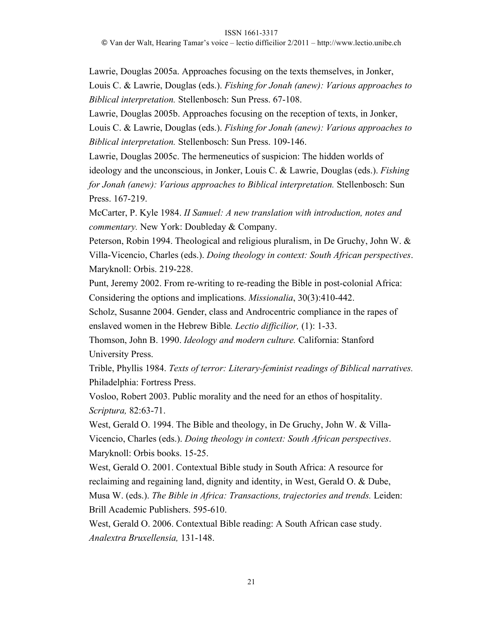© Van der Walt, Hearing Tamar's voice – lectio difficilior 2/2011 – http://www.lectio.unibe.ch

Lawrie, Douglas 2005a. Approaches focusing on the texts themselves, in Jonker, Louis C. & Lawrie, Douglas (eds.). *Fishing for Jonah (anew): Various approaches to Biblical interpretation.* Stellenbosch: Sun Press. 67-108.

Lawrie, Douglas 2005b. Approaches focusing on the reception of texts, in Jonker, Louis C. & Lawrie, Douglas (eds.). *Fishing for Jonah (anew): Various approaches to Biblical interpretation.* Stellenbosch: Sun Press. 109-146.

Lawrie, Douglas 2005c. The hermeneutics of suspicion: The hidden worlds of ideology and the unconscious, in Jonker, Louis C. & Lawrie, Douglas (eds.). *Fishing for Jonah (anew): Various approaches to Biblical interpretation.* Stellenbosch: Sun Press. 167-219.

McCarter, P. Kyle 1984. *II Samuel: A new translation with introduction, notes and commentary.* New York: Doubleday & Company.

Peterson, Robin 1994. Theological and religious pluralism, in De Gruchy, John W. & Villa-Vicencio, Charles (eds.). *Doing theology in context: South African perspectives*. Maryknoll: Orbis. 219-228.

Punt, Jeremy 2002. From re-writing to re-reading the Bible in post-colonial Africa: Considering the options and implications. *Missionalia*, 30(3):410-442.

Scholz, Susanne 2004. Gender, class and Androcentric compliance in the rapes of enslaved women in the Hebrew Bible*. Lectio difficilior,* (1): 1-33.

Thomson, John B. 1990. *Ideology and modern culture.* California: Stanford University Press.

Trible, Phyllis 1984. *Texts of terror: Literary-feminist readings of Biblical narratives.*  Philadelphia: Fortress Press.

Vosloo, Robert 2003. Public morality and the need for an ethos of hospitality. *Scriptura,* 82:63-71.

West, Gerald O. 1994. The Bible and theology, in De Gruchy, John W. & Villa-Vicencio, Charles (eds.). *Doing theology in context: South African perspectives*. Maryknoll: Orbis books. 15-25.

West, Gerald O. 2001. Contextual Bible study in South Africa: A resource for reclaiming and regaining land, dignity and identity, in West, Gerald O. & Dube, Musa W. (eds.). *The Bible in Africa: Transactions, trajectories and trends.* Leiden: Brill Academic Publishers. 595-610.

West, Gerald O. 2006. Contextual Bible reading: A South African case study. *Analextra Bruxellensia,* 131-148.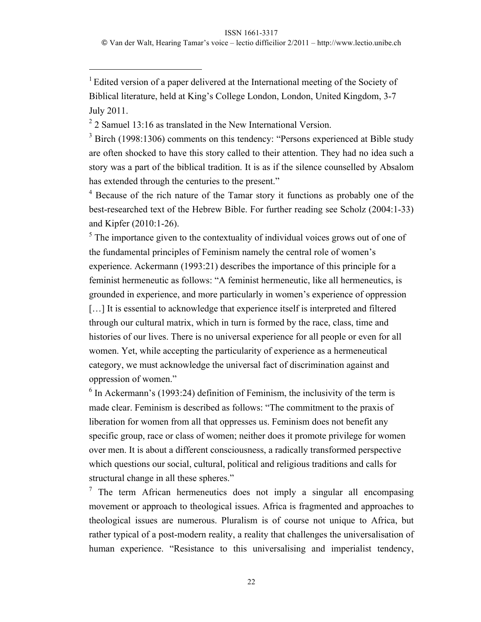<sup>1</sup> Edited version of a paper delivered at the International meeting of the Society of Biblical literature, held at King's College London, London, United Kingdom, 3-7 July 2011.

 $2$  2 Samuel 13:16 as translated in the New International Version.

 $\overline{a}$ 

<sup>3</sup> Birch (1998:1306) comments on this tendency: "Persons experienced at Bible study are often shocked to have this story called to their attention. They had no idea such a story was a part of the biblical tradition. It is as if the silence counselled by Absalom has extended through the centuries to the present."

<sup>4</sup> Because of the rich nature of the Tamar story it functions as probably one of the best-researched text of the Hebrew Bible. For further reading see Scholz (2004:1-33) and Kipfer (2010:1-26).

<sup>5</sup> The importance given to the contextuality of individual voices grows out of one of the fundamental principles of Feminism namely the central role of women's experience. Ackermann (1993:21) describes the importance of this principle for a feminist hermeneutic as follows: "A feminist hermeneutic, like all hermeneutics, is grounded in experience, and more particularly in women's experience of oppression [...] It is essential to acknowledge that experience itself is interpreted and filtered through our cultural matrix, which in turn is formed by the race, class, time and histories of our lives. There is no universal experience for all people or even for all women. Yet, while accepting the particularity of experience as a hermeneutical category, we must acknowledge the universal fact of discrimination against and oppression of women."

 $6$  In Ackermann's (1993:24) definition of Feminism, the inclusivity of the term is made clear. Feminism is described as follows: "The commitment to the praxis of liberation for women from all that oppresses us. Feminism does not benefit any specific group, race or class of women; neither does it promote privilege for women over men. It is about a different consciousness, a radically transformed perspective which questions our social, cultural, political and religious traditions and calls for structural change in all these spheres."

<sup>7</sup> The term African hermeneutics does not imply a singular all encompasing movement or approach to theological issues. Africa is fragmented and approaches to theological issues are numerous. Pluralism is of course not unique to Africa, but rather typical of a post-modern reality, a reality that challenges the universalisation of human experience. "Resistance to this universalising and imperialist tendency,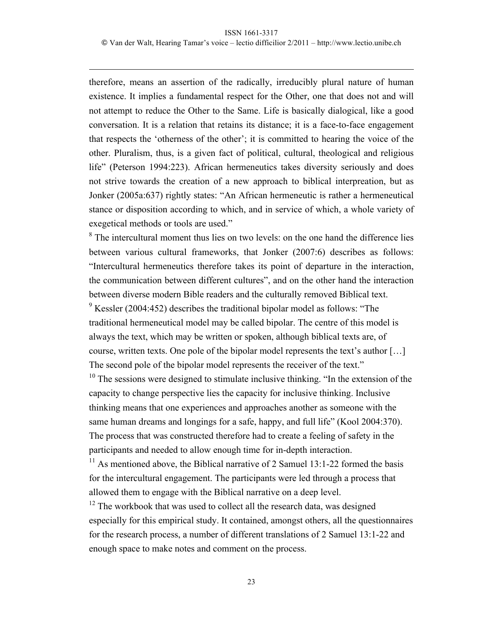$\overline{a}$ 

© Van der Walt, Hearing Tamar's voice – lectio difficilior 2/2011 – http://www.lectio.unibe.ch

therefore, means an assertion of the radically, irreducibly plural nature of human existence. It implies a fundamental respect for the Other, one that does not and will not attempt to reduce the Other to the Same. Life is basically dialogical, like a good conversation. It is a relation that retains its distance; it is a face-to-face engagement that respects the 'otherness of the other'; it is committed to hearing the voice of the other. Pluralism, thus, is a given fact of political, cultural, theological and religious life" (Peterson 1994:223). African hermeneutics takes diversity seriously and does not strive towards the creation of a new approach to biblical interpreation, but as Jonker (2005a:637) rightly states: "An African hermeneutic is rather a hermeneutical stance or disposition according to which, and in service of which, a whole variety of exegetical methods or tools are used."

<sup>8</sup> The intercultural moment thus lies on two levels: on the one hand the difference lies between various cultural frameworks, that Jonker (2007:6) describes as follows: "Intercultural hermeneutics therefore takes its point of departure in the interaction, the communication between different cultures", and on the other hand the interaction between diverse modern Bible readers and the culturally removed Biblical text.  $9$  Kessler (2004:452) describes the traditional bipolar model as follows: "The traditional hermeneutical model may be called bipolar. The centre of this model is always the text, which may be written or spoken, although biblical texts are, of

course, written texts. One pole of the bipolar model represents the text's author […] The second pole of the bipolar model represents the receiver of the text."

 $10$  The sessions were designed to stimulate inclusive thinking. "In the extension of the capacity to change perspective lies the capacity for inclusive thinking. Inclusive thinking means that one experiences and approaches another as someone with the same human dreams and longings for a safe, happy, and full life" (Kool 2004:370). The process that was constructed therefore had to create a feeling of safety in the participants and needed to allow enough time for in-depth interaction.

<sup>11</sup> As mentioned above, the Biblical narrative of 2 Samuel 13:1-22 formed the basis for the intercultural engagement. The participants were led through a process that allowed them to engage with the Biblical narrative on a deep level.

 $12$  The workbook that was used to collect all the research data, was designed especially for this empirical study. It contained, amongst others, all the questionnaires for the research process, a number of different translations of 2 Samuel 13:1-22 and enough space to make notes and comment on the process.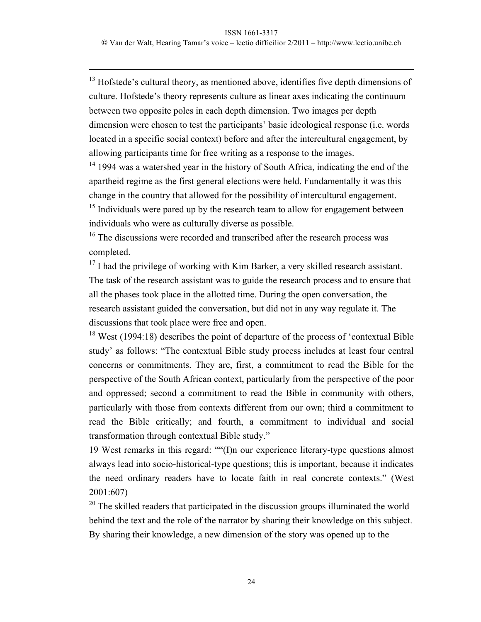$\overline{a}$ 

<sup>13</sup> Hofstede's cultural theory, as mentioned above, identifies five depth dimensions of culture. Hofstede's theory represents culture as linear axes indicating the continuum between two opposite poles in each depth dimension. Two images per depth dimension were chosen to test the participants' basic ideological response (i.e. words located in a specific social context) before and after the intercultural engagement, by allowing participants time for free writing as a response to the images.

 $14$  1994 was a watershed year in the history of South Africa, indicating the end of the apartheid regime as the first general elections were held. Fundamentally it was this change in the country that allowed for the possibility of intercultural engagement.

 $15$  Individuals were pared up by the research team to allow for engagement between individuals who were as culturally diverse as possible.

<sup>16</sup> The discussions were recorded and transcribed after the research process was completed.

 $17$  I had the privilege of working with Kim Barker, a very skilled research assistant. The task of the research assistant was to guide the research process and to ensure that all the phases took place in the allotted time. During the open conversation, the research assistant guided the conversation, but did not in any way regulate it. The discussions that took place were free and open.

 $18$  West (1994:18) describes the point of departure of the process of 'contextual Bible study' as follows: "The contextual Bible study process includes at least four central concerns or commitments. They are, first, a commitment to read the Bible for the perspective of the South African context, particularly from the perspective of the poor and oppressed; second a commitment to read the Bible in community with others, particularly with those from contexts different from our own; third a commitment to read the Bible critically; and fourth, a commitment to individual and social transformation through contextual Bible study."

19 West remarks in this regard: ""(I)n our experience literary-type questions almost always lead into socio-historical-type questions; this is important, because it indicates the need ordinary readers have to locate faith in real concrete contexts." (West 2001:607)

 $20$  The skilled readers that participated in the discussion groups illuminated the world behind the text and the role of the narrator by sharing their knowledge on this subject. By sharing their knowledge, a new dimension of the story was opened up to the